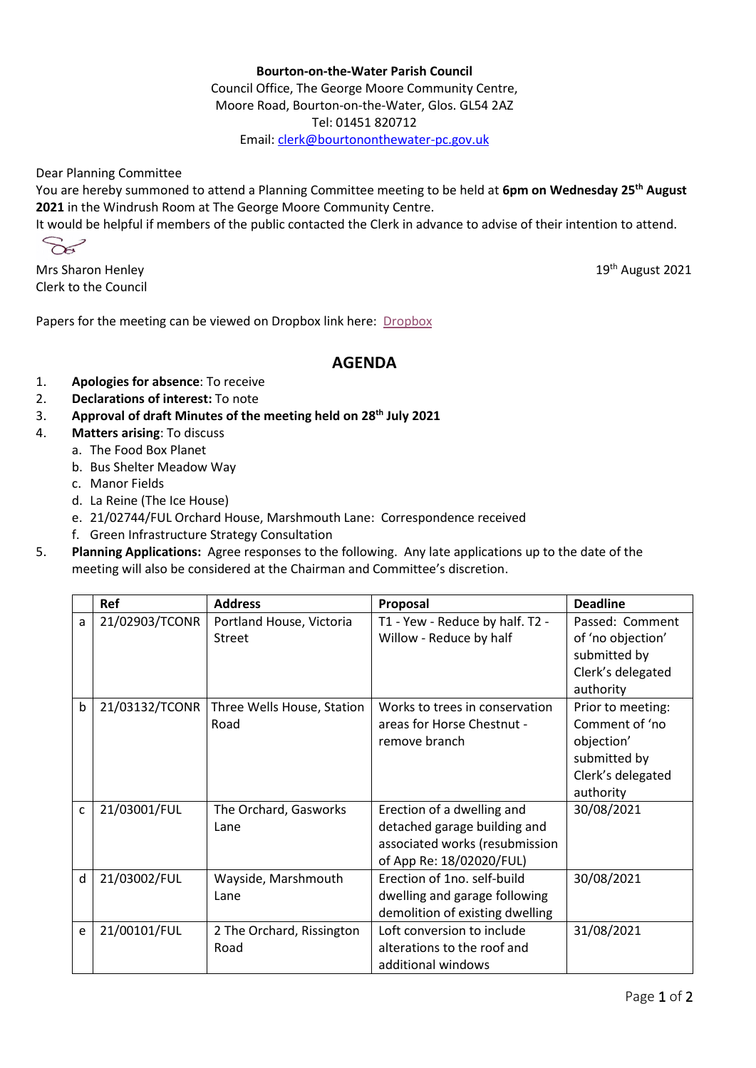## **Bourton-on-the-Water Parish Council**

Council Office, The George Moore Community Centre, Moore Road, Bourton-on-the-Water, Glos. GL54 2AZ Tel: 01451 820712 Email[: clerk@bourtononthewater-pc.gov.uk](mailto:clerk@bourtononthewater-pc.gov.uk)

Dear Planning Committee

You are hereby summoned to attend a Planning Committee meeting to be held at **6pm on Wednesday 25th August 2021** in the Windrush Room at The George Moore Community Centre.

It would be helpful if members of the public contacted the Clerk in advance to advise of their intention to attend.

 $\sim$ 

Mrs Sharon Henley 19th August 2021 Clerk to the Council

Papers for the meeting can be viewed on Dropbox link here: [Dropbox](https://www.dropbox.com/sh/t76k9lwdewxkkhc/AAByC1wDKm6vjd3t9OxmWXJ8a?dl=0)

## **AGENDA**

- 1. **Apologies for absence**: To receive
- 2. **Declarations of interest:** To note
- 3. **Approval of draft Minutes of the meeting held on 28th July 2021**
- 4. **Matters arising**: To discuss
	- a. The Food Box Planet
	- b. Bus Shelter Meadow Way
	- c. Manor Fields
	- d. La Reine (The Ice House)
	- e. 21/02744/FUL Orchard House, Marshmouth Lane: Correspondence received
	- f. Green Infrastructure Strategy Consultation
- 5. **Planning Applications:** Agree responses to the following.Any late applications up to the date of the meeting will also be considered at the Chairman and Committee's discretion.

|   | Ref            | <b>Address</b>             | Proposal                        | <b>Deadline</b>   |
|---|----------------|----------------------------|---------------------------------|-------------------|
| a | 21/02903/TCONR | Portland House, Victoria   | T1 - Yew - Reduce by half. T2 - | Passed: Comment   |
|   |                | <b>Street</b>              | Willow - Reduce by half         | of 'no objection' |
|   |                |                            |                                 | submitted by      |
|   |                |                            |                                 | Clerk's delegated |
|   |                |                            |                                 | authority         |
| b | 21/03132/TCONR | Three Wells House, Station | Works to trees in conservation  | Prior to meeting: |
|   |                | Road                       | areas for Horse Chestnut -      | Comment of 'no    |
|   |                |                            | remove branch                   | objection'        |
|   |                |                            |                                 | submitted by      |
|   |                |                            |                                 | Clerk's delegated |
|   |                |                            |                                 | authority         |
| C | 21/03001/FUL   | The Orchard, Gasworks      | Erection of a dwelling and      | 30/08/2021        |
|   |                | Lane                       | detached garage building and    |                   |
|   |                |                            | associated works (resubmission  |                   |
|   |                |                            | of App Re: 18/02020/FUL)        |                   |
| d | 21/03002/FUL   | Wayside, Marshmouth        | Erection of 1no. self-build     | 30/08/2021        |
|   |                | Lane                       | dwelling and garage following   |                   |
|   |                |                            | demolition of existing dwelling |                   |
| e | 21/00101/FUL   | 2 The Orchard, Rissington  | Loft conversion to include      | 31/08/2021        |
|   |                | Road                       | alterations to the roof and     |                   |
|   |                |                            | additional windows              |                   |